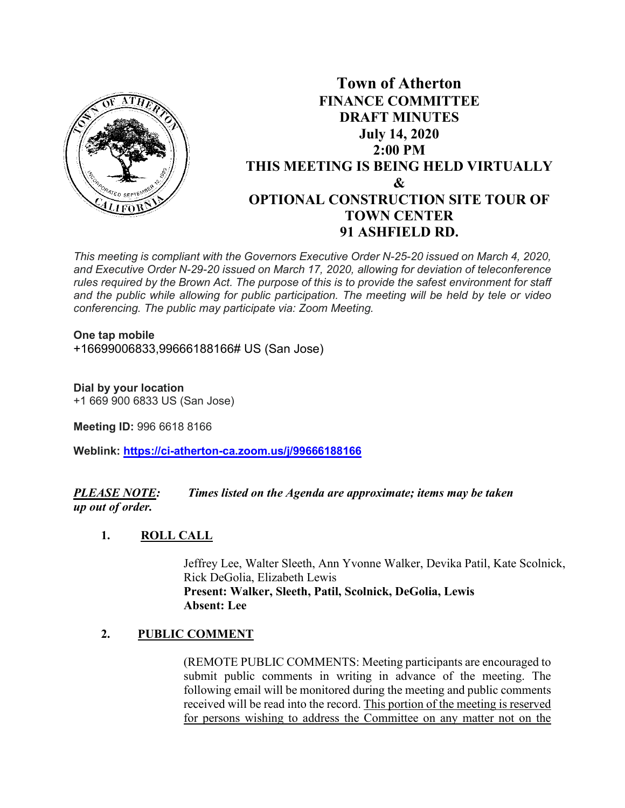

# **Town of Atherton FINANCE COMMITTEE DRAFT MINUTES July 14, 2020 2:00 PM THIS MEETING IS BEING HELD VIRTUALLY & OPTIONAL CONSTRUCTION SITE TOUR OF TOWN CENTER 91 ASHFIELD RD.**

*This meeting is compliant with the Governors Executive Order N-25-20 issued on March 4, 2020, and Executive Order N-29-20 issued on March 17, 2020, allowing for deviation of teleconference rules required by the Brown Act. The purpose of this is to provide the safest environment for staff and the public while allowing for public participation. The meeting will be held by tele or video conferencing. The public may participate via: Zoom Meeting.*

## **One tap mobile**

+16699006833,99666188166# US (San Jose)

**Dial by your location**  +1 669 900 6833 US (San Jose)

**Meeting ID:** 996 6618 8166

**Weblink: <https://ci-atherton-ca.zoom.us/j/99666188166>**

*PLEASE NOTE: Times listed on the Agenda are approximate; items may be taken up out of order.*

### **1. ROLL CALL**

Jeffrey Lee, Walter Sleeth, Ann Yvonne Walker, Devika Patil, Kate Scolnick, Rick DeGolia, Elizabeth Lewis **Present: Walker, Sleeth, Patil, Scolnick, DeGolia, Lewis Absent: Lee**

### **2. PUBLIC COMMENT**

(REMOTE PUBLIC COMMENTS: Meeting participants are encouraged to submit public comments in writing in advance of the meeting. The following email will be monitored during the meeting and public comments received will be read into the record. This portion of the meeting is reserved for persons wishing to address the Committee on any matter not on the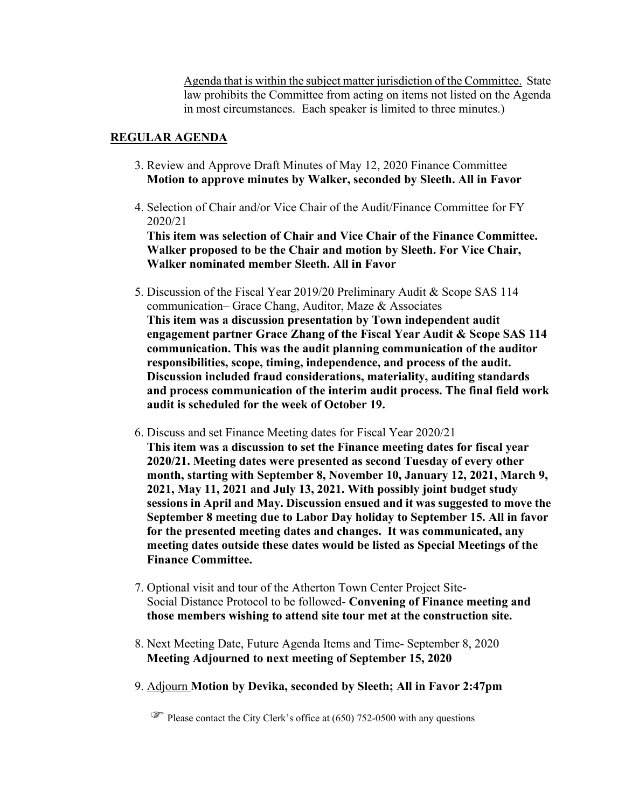Agenda that is within the subject matter jurisdiction of the Committee. State law prohibits the Committee from acting on items not listed on the Agenda in most circumstances. Each speaker is limited to three minutes.)

#### **REGULAR AGENDA**

- 3. Review and Approve Draft Minutes of May 12, 2020 Finance Committee **Motion to approve minutes by Walker, seconded by Sleeth. All in Favor**
- 4. Selection of Chair and/or Vice Chair of the Audit/Finance Committee for FY 2020/21

 **This item was selection of Chair and Vice Chair of the Finance Committee. Walker proposed to be the Chair and motion by Sleeth. For Vice Chair, Walker nominated member Sleeth. All in Favor**

- 5. Discussion of the Fiscal Year 2019/20 Preliminary Audit & Scope SAS 114 communication– Grace Chang, Auditor, Maze & Associates **This item was a discussion presentation by Town independent audit engagement partner Grace Zhang of the Fiscal Year Audit & Scope SAS 114 communication. This was the audit planning communication of the auditor responsibilities, scope, timing, independence, and process of the audit. Discussion included fraud considerations, materiality, auditing standards and process communication of the interim audit process. The final field work audit is scheduled for the week of October 19.**
- 6. Discuss and set Finance Meeting dates for Fiscal Year 2020/21 **This item was a discussion to set the Finance meeting dates for fiscal year 2020/21. Meeting dates were presented as second Tuesday of every other month, starting with September 8, November 10, January 12, 2021, March 9, 2021, May 11, 2021 and July 13, 2021. With possibly joint budget study sessions in April and May. Discussion ensued and it was suggested to move the September 8 meeting due to Labor Day holiday to September 15. All in favor for the presented meeting dates and changes. It was communicated, any meeting dates outside these dates would be listed as Special Meetings of the Finance Committee.**
- 7. Optional visit and tour of the Atherton Town Center Project Site-Social Distance Protocol to be followed- **Convening of Finance meeting and those members wishing to attend site tour met at the construction site.**
- 8. Next Meeting Date, Future Agenda Items and Time- September 8, 2020 **Meeting Adjourned to next meeting of September 15, 2020**
- 9. Adjourn **Motion by Devika, seconded by Sleeth; All in Favor 2:47pm**

 $\mathbb{F}$  Please contact the City Clerk's office at (650) 752-0500 with any questions